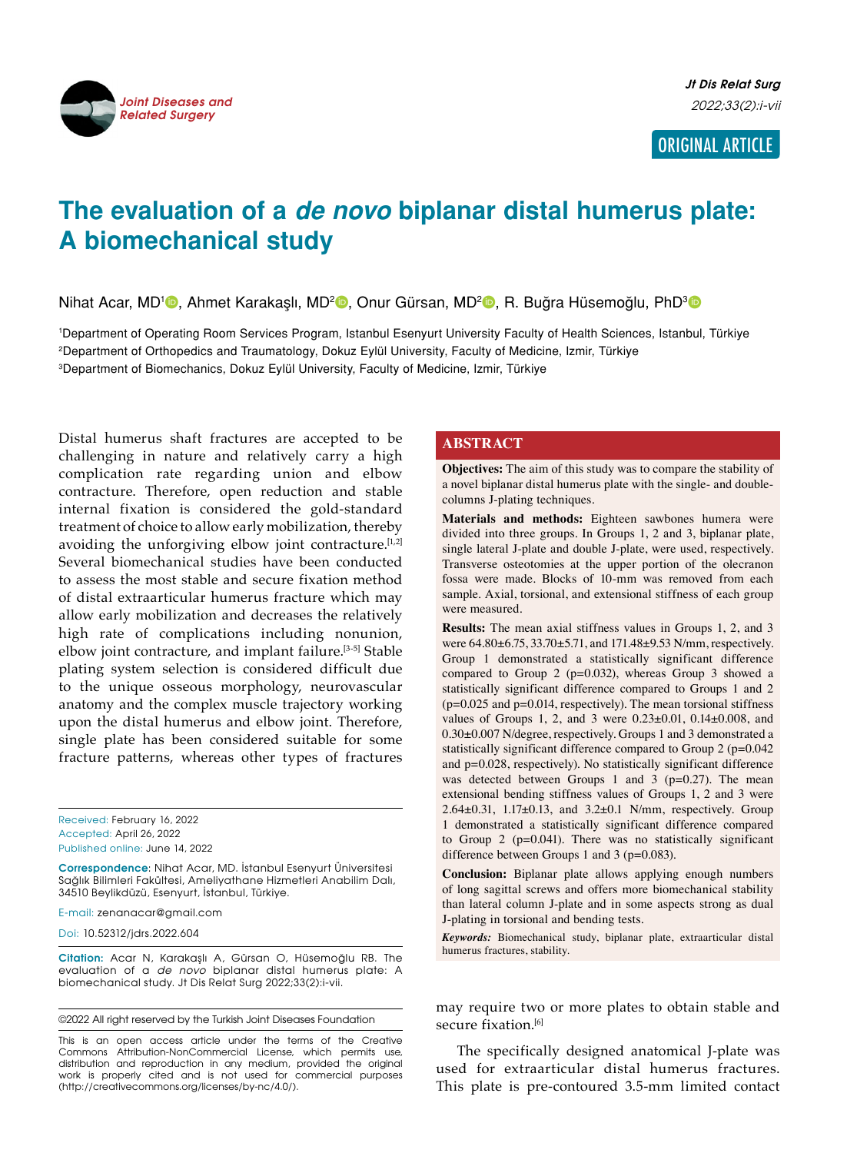

# ORIGINAL ARTICLE

# **The evaluation of a** *de novo* **biplanar distal humerus plate: A biomechanical study**

Nihat Acar, MD<sup>1</sup>D, Ahmet Karakaşlı, MD<sup>2</sup>D, Onur Gürsan, MD<sup>2</sup>D, R. Buğra Hüsemoğlu, PhD<sup>3</sup>D

1 Department of Operating Room Services Program, Istanbul Esenyurt University Faculty of Health Sciences, Istanbul, Türkiye 2 Department of Orthopedics and Traumatology, Dokuz Eylül University, Faculty of Medicine, Izmir, Türkiye 3 Department of Biomechanics, Dokuz Eylül University, Faculty of Medicine, Izmir, Türkiye

Distal humerus shaft fractures are accepted to be challenging in nature and relatively carry a high complication rate regarding union and elbow contracture. Therefore, open reduction and stable internal fixation is considered the gold-standard treatment of choice to allow early mobilization, thereby avoiding the unforgiving elbow joint contracture.<sup>[1,2]</sup> Several biomechanical studies have been conducted to assess the most stable and secure fixation method of distal extraarticular humerus fracture which may allow early mobilization and decreases the relatively high rate of complications including nonunion, elbow joint contracture, and implant failure.[3-5] Stable plating system selection is considered difficult due to the unique osseous morphology, neurovascular anatomy and the complex muscle trajectory working upon the distal humerus and elbow joint. Therefore, single plate has been considered suitable for some fracture patterns, whereas other types of fractures

Received: February 16, 2022 Accepted: April 26, 2022 Published online: June 14, 2022

**Correspondence**: Nihat Acar, MD. İstanbul Esenyurt Üniversitesi Sağlık Bilimleri Fakültesi, Ameliyathane Hizmetleri Anabilim Dalı, 34510 Beylikdüzü, Esenyurt, İstanbul, Türkiye.

E-mail: zenanacar@gmail.com

Doi: 10.52312/jdrs.2022.604

**Citation:** Acar N, Karakaşlı A, Gürsan O, Hüsemoğlu RB. The evaluation of a de novo biplanar distal humerus plate: A biomechanical study. Jt Dis Relat Surg 2022;33(2):i-vii.

©2022 All right reserved by the Turkish Joint Diseases Foundation

This is an open access article under the terms of the Creative Commons Attribution-NonCommercial License, which permits use, distribution and reproduction in any medium, provided the original work is properly cited and is not used for commercial purposes (http://creativecommons.org/licenses/by-nc/4.0/).

## **ABSTRACT**

**Objectives:** The aim of this study was to compare the stability of a novel biplanar distal humerus plate with the single- and doublecolumns J-plating techniques.

**Materials and methods:** Eighteen sawbones humera were divided into three groups. In Groups 1, 2 and 3, biplanar plate, single lateral J-plate and double J-plate, were used, respectively. Transverse osteotomies at the upper portion of the olecranon fossa were made. Blocks of 10-mm was removed from each sample. Axial, torsional, and extensional stiffness of each group were measured.

**Results:** The mean axial stiffness values in Groups 1, 2, and 3 were  $64.80 \pm 6.75$ ,  $33.70 \pm 5.71$ , and  $171.48 \pm 9.53$  N/mm, respectively. Group 1 demonstrated a statistically significant difference compared to Group 2 (p=0.032), whereas Group 3 showed a statistically significant difference compared to Groups 1 and 2 (p=0.025 and p=0.014, respectively). The mean torsional stiffness values of Groups 1, 2, and 3 were  $0.23 \pm 0.01$ ,  $0.14 \pm 0.008$ , and 0.30±0.007 N/degree, respectively. Groups 1 and 3 demonstrated a statistically significant difference compared to Group 2 (p=0.042) and p=0.028, respectively). No statistically significant difference was detected between Groups 1 and 3 ( $p=0.27$ ). The mean extensional bending stiffness values of Groups 1, 2 and 3 were  $2.64\pm0.31$ ,  $1.17\pm0.13$ , and  $3.2\pm0.1$  N/mm, respectively. Group 1 demonstrated a statistically significant difference compared to Group 2 (p=0.041). There was no statistically significant difference between Groups 1 and 3 (p=0.083).

**Conclusion:** Biplanar plate allows applying enough numbers of long sagittal screws and offers more biomechanical stability than lateral column J-plate and in some aspects strong as dual J-plating in torsional and bending tests.

*Keywords:* Biomechanical study, biplanar plate, extraarticular distal humerus fractures, stability.

may require two or more plates to obtain stable and secure fixation.<sup>[6]</sup>

The specifically designed anatomical J-plate was used for extraarticular distal humerus fractures. This plate is pre-contoured 3.5-mm limited contact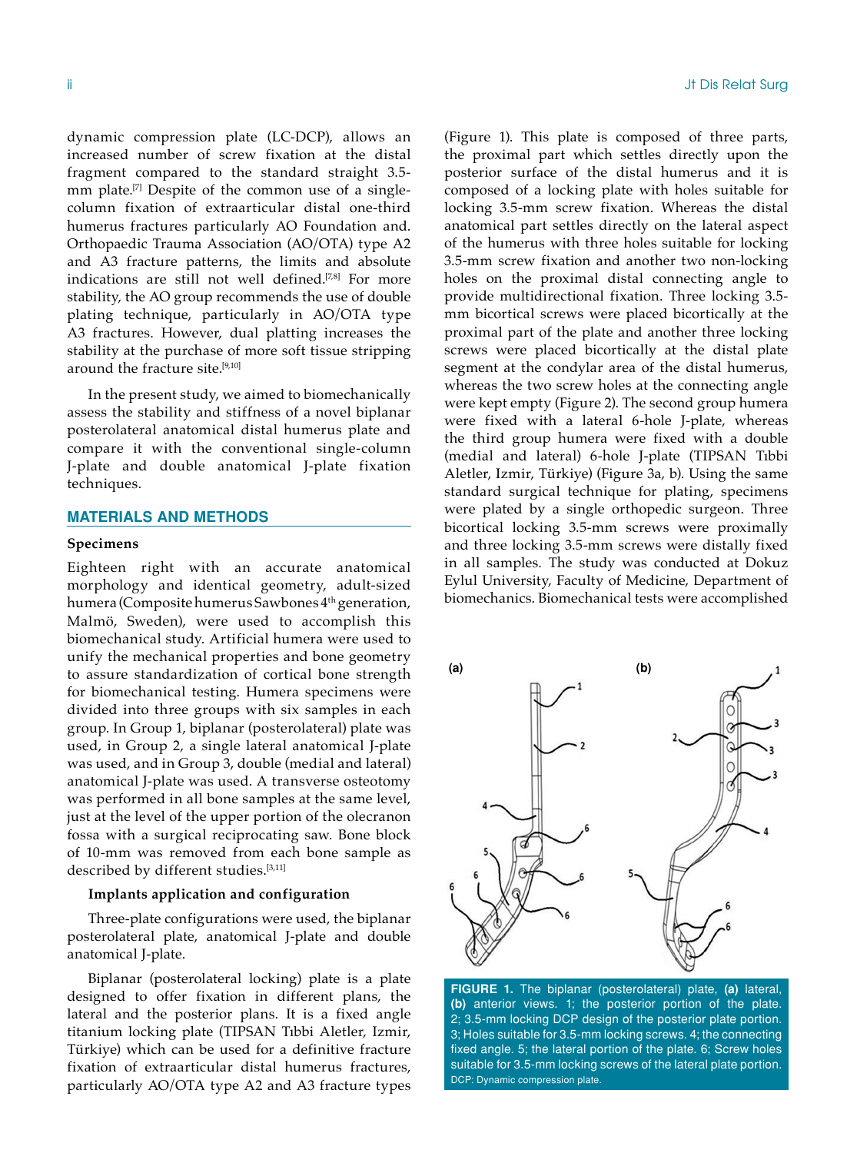dynamic compression plate (LC-DCP), allows an increased number of screw fixation at the distal fragment compared to the standard straight 3.5 mm plate.<sup>[7]</sup> Despite of the common use of a singlecolumn fixation of extraarticular distal one-third humerus fractures particularly AO Foundation and. Orthopaedic Trauma Association (AO/OTA) type A2 and A3 fracture patterns, the limits and absolute indications are still not well defined.<sup>[7,8]</sup> For more stability, the AO group recommends the use of double plating technique, particularly in AO/OTA type A3 fractures. However, dual platting increases the stability at the purchase of more soft tissue stripping around the fracture site.<sup>[9,10]</sup>

In the present study, we aimed to biomechanically assess the stability and stiffness of a novel biplanar posterolateral anatomical distal humerus plate and compare it with the conventional single-column J-plate and double anatomical J-plate fixation techniques.

## **MATERIALS AND METHODS**

#### **Specimens**

Eighteen right with an accurate anatomical morphology and identical geometry, adult-sized humera (Composite humerus Sawbones 4<sup>th</sup> generation, Malmö, Sweden), were used to accomplish this biomechanical study. Artificial humera were used to unify the mechanical properties and bone geometry to assure standardization of cortical bone strength for biomechanical testing. Humera specimens were divided into three groups with six samples in each group. In Group 1, biplanar (posterolateral) plate was used, in Group 2, a single lateral anatomical J-plate was used, and in Group 3, double (medial and lateral) anatomical J-plate was used. A transverse osteotomy was performed in all bone samples at the same level, just at the level of the upper portion of the olecranon fossa with a surgical reciprocating saw. Bone block of 10-mm was removed from each bone sample as described by different studies.[3,11]

#### **Implants application and configuration**

Three-plate configurations were used, the biplanar posterolateral plate, anatomical J-plate and double anatomical J-plate.

Biplanar (posterolateral locking) plate is a plate designed to offer fixation in different plans, the lateral and the posterior plans. It is a fixed angle titanium locking plate (TIPSAN Tıbbi Aletler, Izmir, Türkiye) which can be used for a definitive fracture fixation of extraarticular distal humerus fractures, particularly AO/OTA type A2 and A3 fracture types (Figure 1). This plate is composed of three parts, the proximal part which settles directly upon the posterior surface of the distal humerus and it is composed of a locking plate with holes suitable for locking 3.5-mm screw fixation. Whereas the distal anatomical part settles directly on the lateral aspect of the humerus with three holes suitable for locking 3.5-mm screw fixation and another two non-locking holes on the proximal distal connecting angle to provide multidirectional fixation. Three locking 3.5 mm bicortical screws were placed bicortically at the proximal part of the plate and another three locking screws were placed bicortically at the distal plate segment at the condylar area of the distal humerus, whereas the two screw holes at the connecting angle were kept empty (Figure 2). The second group humera were fixed with a lateral 6-hole J-plate, whereas the third group humera were fixed with a double (medial and lateral) 6-hole J-plate (TIPSAN Tıbbi Aletler, Izmir, Türkiye) (Figure 3a, b). Using the same standard surgical technique for plating, specimens were plated by a single orthopedic surgeon. Three bicortical locking 3.5-mm screws were proximally and three locking 3.5-mm screws were distally fixed in all samples. The study was conducted at Dokuz Eylul University, Faculty of Medicine, Department of biomechanics. Biomechanical tests were accomplished



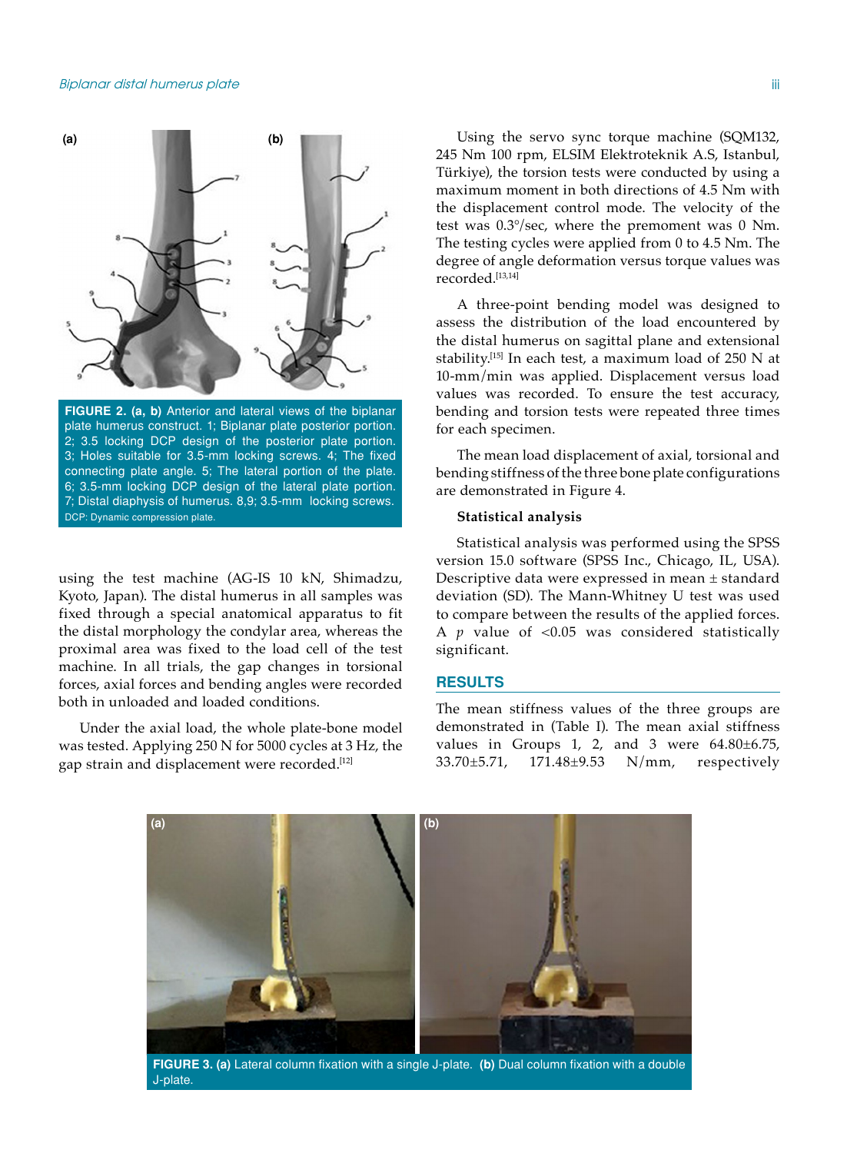

**FIGURE 2. (a, b)** Anterior and lateral views of the biplanar plate humerus construct. 1; Biplanar plate posterior portion. 2; 3.5 locking DCP design of the posterior plate portion. 3; Holes suitable for 3.5-mm locking screws. 4; The fixed connecting plate angle. 5; The lateral portion of the plate. 6; 3.5-mm locking DCP design of the lateral plate portion. 7; Distal diaphysis of humerus. 8,9; 3.5-mm locking screws. DCP: Dynamic compression plate.

using the test machine (AG-IS 10 kN, Shimadzu, Kyoto, Japan). The distal humerus in all samples was fixed through a special anatomical apparatus to fit the distal morphology the condylar area, whereas the proximal area was fixed to the load cell of the test machine. In all trials, the gap changes in torsional forces, axial forces and bending angles were recorded both in unloaded and loaded conditions.

Under the axial load, the whole plate-bone model was tested. Applying 250 N for 5000 cycles at 3 Hz, the gap strain and displacement were recorded.<sup>[12]</sup>

Using the servo sync torque machine (SQM132, 245 Nm 100 rpm, ELSIM Elektroteknik A.S, Istanbul, Türkiye), the torsion tests were conducted by using a maximum moment in both directions of 4.5 Nm with the displacement control mode. The velocity of the test was 0.3°/sec, where the premoment was 0 Nm. The testing cycles were applied from 0 to 4.5 Nm. The degree of angle deformation versus torque values was recorded.[13,14]

A three-point bending model was designed to assess the distribution of the load encountered by the distal humerus on sagittal plane and extensional stability.[15] In each test, a maximum load of 250 N at 10-mm/min was applied. Displacement versus load values was recorded. To ensure the test accuracy, bending and torsion tests were repeated three times for each specimen.

The mean load displacement of axial, torsional and bending stiffness of the three bone plate configurations are demonstrated in Figure 4.

#### **Statistical analysis**

Statistical analysis was performed using the SPSS version 15.0 software (SPSS Inc., Chicago, IL, USA). Descriptive data were expressed in mean ± standard deviation (SD). The Mann-Whitney U test was used to compare between the results of the applied forces. A *p* value of <0.05 was considered statistically significant.

#### **RESULTS**

The mean stiffness values of the three groups are demonstrated in (Table I). The mean axial stiffness values in Groups 1, 2, and 3 were 64.80±6.75, 33.70±5.71, 171.48±9.53 N/mm, respectively



J-plate.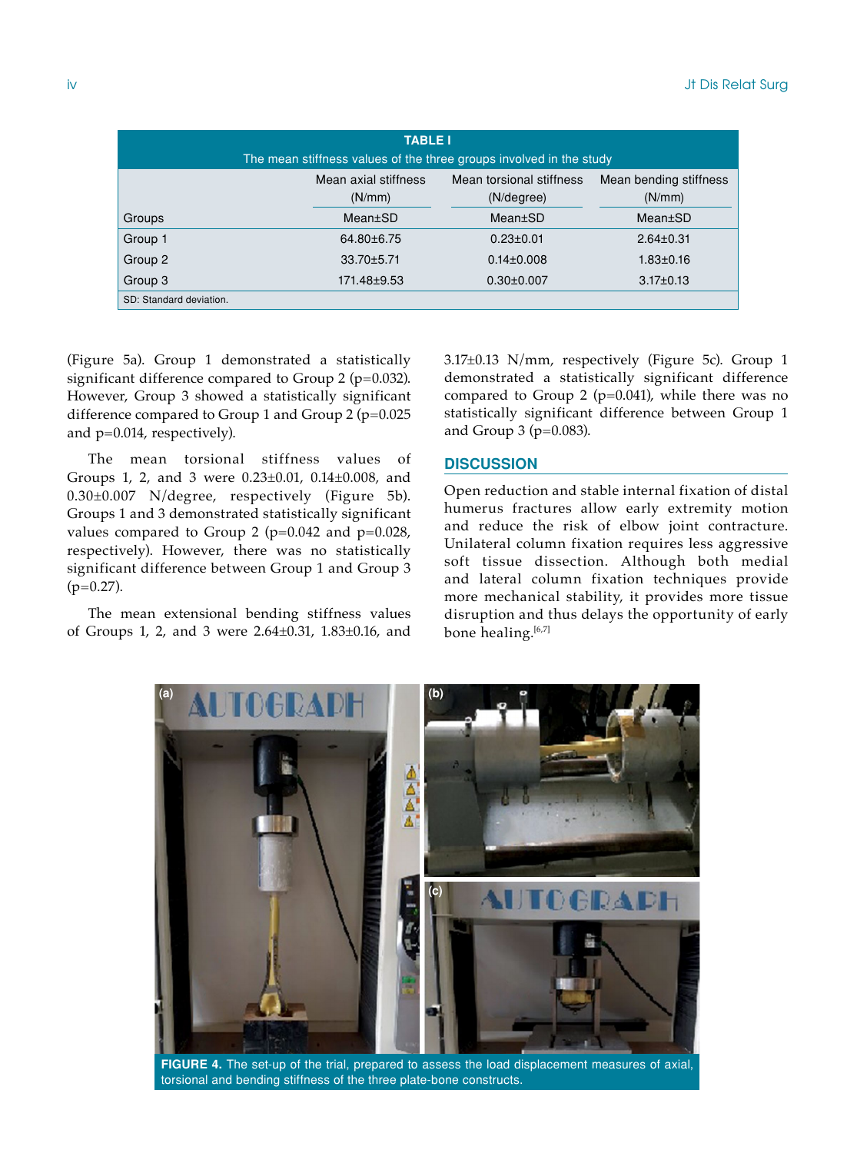| <b>TABLE I</b><br>The mean stiffness values of the three groups involved in the study |                                |                                        |                                  |
|---------------------------------------------------------------------------------------|--------------------------------|----------------------------------------|----------------------------------|
|                                                                                       | Mean axial stiffness<br>(N/mm) | Mean torsional stiffness<br>(N/degree) | Mean bending stiffness<br>(N/mm) |
| Groups                                                                                | Mean±SD                        | Mean±SD                                | Mean±SD                          |
| Group 1                                                                               | 64.80±6.75                     | $0.23 \pm 0.01$                        | $2.64 \pm 0.31$                  |
| Group 2                                                                               | 33.70±5.71                     | $0.14 \pm 0.008$                       | $1.83 \pm 0.16$                  |
| Group 3                                                                               | 171.48±9.53                    | $0.30 \pm 0.007$                       | $3.17 \pm 0.13$                  |
| SD: Standard deviation.                                                               |                                |                                        |                                  |

(Figure 5a). Group 1 demonstrated a statistically significant difference compared to Group 2 ( $p=0.032$ ). However, Group 3 showed a statistically significant difference compared to Group 1 and Group 2 ( $p=0.025$ ) and p=0.014, respectively).

The mean torsional stiffness values of Groups 1, 2, and 3 were 0.23±0.01, 0.14±0.008, and 0.30±0.007 N/degree, respectively (Figure 5b). Groups 1 and 3 demonstrated statistically significant values compared to Group 2 ( $p=0.042$  and  $p=0.028$ , respectively). However, there was no statistically significant difference between Group 1 and Group 3  $(p=0.27)$ .

The mean extensional bending stiffness values of Groups 1, 2, and 3 were 2.64±0.31, 1.83±0.16, and 3.17±0.13 N/mm, respectively (Figure 5c). Group 1 demonstrated a statistically significant difference compared to Group 2 ( $p=0.041$ ), while there was no statistically significant difference between Group 1 and Group 3 ( $p=0.083$ ).

# **DISCUSSION**

Open reduction and stable internal fixation of distal humerus fractures allow early extremity motion and reduce the risk of elbow joint contracture. Unilateral column fixation requires less aggressive soft tissue dissection. Although both medial and lateral column fixation techniques provide more mechanical stability, it provides more tissue disruption and thus delays the opportunity of early bone healing.<sup>[6,7]</sup>



**FIGURE 4.** The set-up of the trial, prepared to assess the load displacement measures of axial, torsional and bending stiffness of the three plate-bone constructs.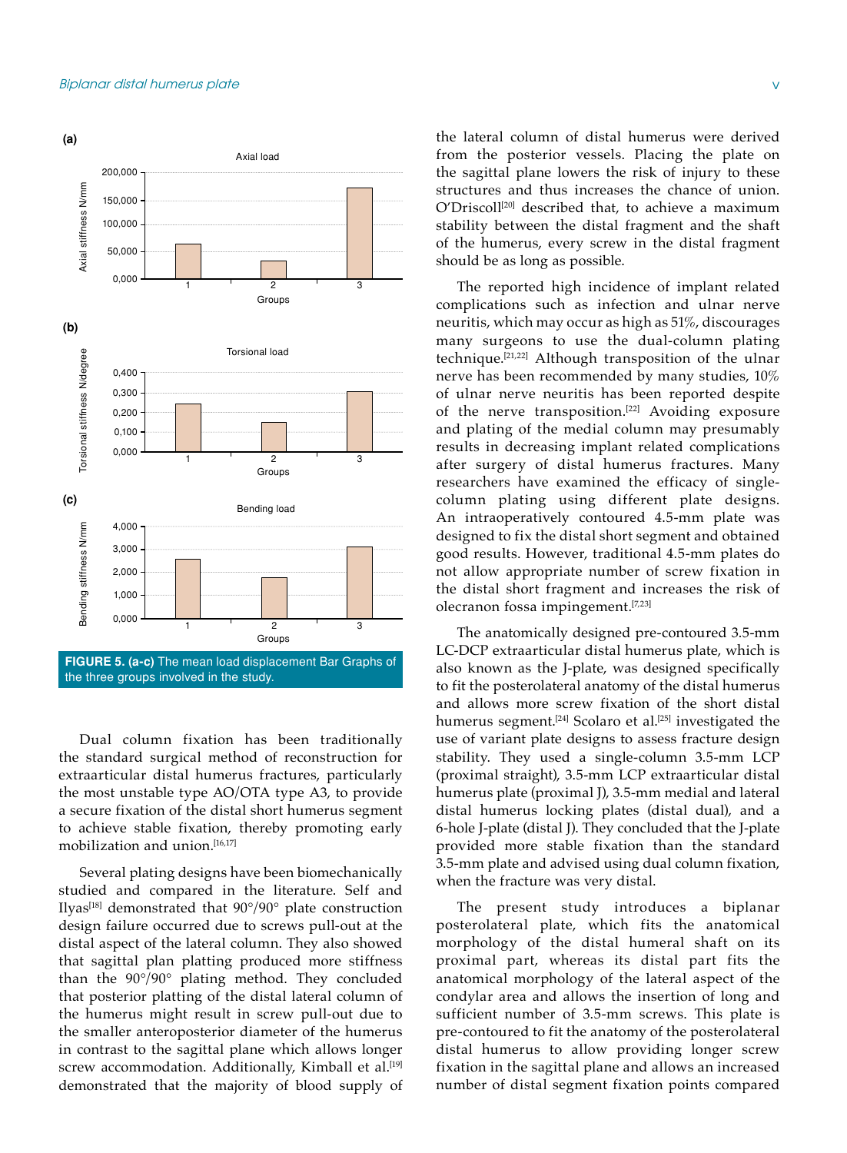

Dual column fixation has been traditionally the standard surgical method of reconstruction for extraarticular distal humerus fractures, particularly the most unstable type AO/OTA type A3, to provide a secure fixation of the distal short humerus segment to achieve stable fixation, thereby promoting early mobilization and union.[16,17]

Several plating designs have been biomechanically studied and compared in the literature. Self and Ilyas<sup>[18]</sup> demonstrated that  $90^{\circ}/90^{\circ}$  plate construction design failure occurred due to screws pull-out at the distal aspect of the lateral column. They also showed that sagittal plan platting produced more stiffness than the 90°/90° plating method. They concluded that posterior platting of the distal lateral column of the humerus might result in screw pull-out due to the smaller anteroposterior diameter of the humerus in contrast to the sagittal plane which allows longer screw accommodation. Additionally, Kimball et al.<sup>[19]</sup> demonstrated that the majority of blood supply of the lateral column of distal humerus were derived from the posterior vessels. Placing the plate on the sagittal plane lowers the risk of injury to these structures and thus increases the chance of union. O'Driscoll[20] described that, to achieve a maximum stability between the distal fragment and the shaft of the humerus, every screw in the distal fragment should be as long as possible.

The reported high incidence of implant related complications such as infection and ulnar nerve neuritis, which may occur as high as 51%, discourages many surgeons to use the dual-column plating technique.[21,22] Although transposition of the ulnar nerve has been recommended by many studies, 10% of ulnar nerve neuritis has been reported despite of the nerve transposition.<sup>[22]</sup> Avoiding exposure and plating of the medial column may presumably results in decreasing implant related complications after surgery of distal humerus fractures. Many researchers have examined the efficacy of singlecolumn plating using different plate designs. An intraoperatively contoured 4.5-mm plate was designed to fix the distal short segment and obtained good results. However, traditional 4.5-mm plates do not allow appropriate number of screw fixation in the distal short fragment and increases the risk of olecranon fossa impingement.[7,23]

The anatomically designed pre-contoured 3.5-mm LC-DCP extraarticular distal humerus plate, which is also known as the J-plate, was designed specifically to fit the posterolateral anatomy of the distal humerus and allows more screw fixation of the short distal humerus segment.<sup>[24]</sup> Scolaro et al.<sup>[25]</sup> investigated the use of variant plate designs to assess fracture design stability. They used a single-column 3.5-mm LCP (proximal straight), 3.5-mm LCP extraarticular distal humerus plate (proximal J), 3.5-mm medial and lateral distal humerus locking plates (distal dual), and a 6-hole J-plate (distal J). They concluded that the J-plate provided more stable fixation than the standard 3.5-mm plate and advised using dual column fixation, when the fracture was very distal.

The present study introduces a biplanar posterolateral plate, which fits the anatomical morphology of the distal humeral shaft on its proximal part, whereas its distal part fits the anatomical morphology of the lateral aspect of the condylar area and allows the insertion of long and sufficient number of 3.5-mm screws. This plate is pre-contoured to fit the anatomy of the posterolateral distal humerus to allow providing longer screw fixation in the sagittal plane and allows an increased number of distal segment fixation points compared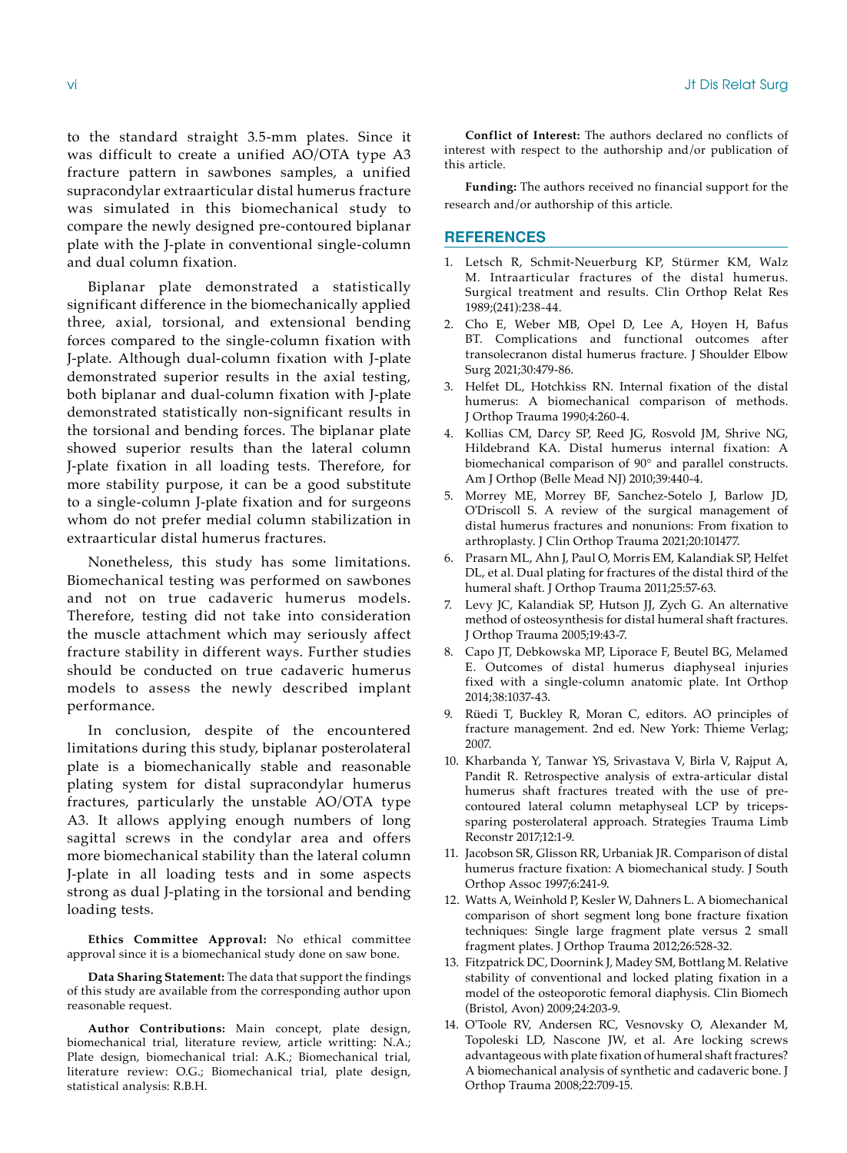to the standard straight 3.5-mm plates. Since it was difficult to create a unified AO/OTA type A3 fracture pattern in sawbones samples, a unified supracondylar extraarticular distal humerus fracture was simulated in this biomechanical study to compare the newly designed pre-contoured biplanar plate with the J-plate in conventional single-column and dual column fixation.

Biplanar plate demonstrated a statistically significant difference in the biomechanically applied three, axial, torsional, and extensional bending forces compared to the single-column fixation with J-plate. Although dual-column fixation with J-plate demonstrated superior results in the axial testing, both biplanar and dual-column fixation with J-plate demonstrated statistically non-significant results in the torsional and bending forces. The biplanar plate showed superior results than the lateral column J-plate fixation in all loading tests. Therefore, for more stability purpose, it can be a good substitute to a single-column J-plate fixation and for surgeons whom do not prefer medial column stabilization in extraarticular distal humerus fractures.

Nonetheless, this study has some limitations. Biomechanical testing was performed on sawbones and not on true cadaveric humerus models. Therefore, testing did not take into consideration the muscle attachment which may seriously affect fracture stability in different ways. Further studies should be conducted on true cadaveric humerus models to assess the newly described implant performance.

In conclusion, despite of the encountered limitations during this study, biplanar posterolateral plate is a biomechanically stable and reasonable plating system for distal supracondylar humerus fractures, particularly the unstable AO/OTA type A3. It allows applying enough numbers of long sagittal screws in the condylar area and offers more biomechanical stability than the lateral column J-plate in all loading tests and in some aspects strong as dual J-plating in the torsional and bending loading tests.

**Ethics Committee Approval:** No ethical committee approval since it is a biomechanical study done on saw bone.

**Data Sharing Statement:** The data that support the findings of this study are available from the corresponding author upon reasonable request.

**Author Contributions:** Main concept, plate design, biomechanical trial, literature review, article writting: N.A.; Plate design, biomechanical trial: A.K.; Biomechanical trial, literature review: O.G.; Biomechanical trial, plate design, statistical analysis: R.B.H.

**Conflict of Interest:** The authors declared no conflicts of interest with respect to the authorship and/or publication of this article.

**Funding:** The authors received no financial support for the research and/or authorship of this article.

#### **REFERENCES**

- 1. Letsch R, Schmit-Neuerburg KP, Stürmer KM, Walz M. Intraarticular fractures of the distal humerus. Surgical treatment and results. Clin Orthop Relat Res 1989;(241):238-44.
- 2. Cho E, Weber MB, Opel D, Lee A, Hoyen H, Bafus BT. Complications and functional outcomes after transolecranon distal humerus fracture. J Shoulder Elbow Surg 2021;30:479-86.
- 3. Helfet DL, Hotchkiss RN. Internal fixation of the distal humerus: A biomechanical comparison of methods. J Orthop Trauma 1990;4:260-4.
- 4. Kollias CM, Darcy SP, Reed JG, Rosvold JM, Shrive NG, Hildebrand KA. Distal humerus internal fixation: A biomechanical comparison of 90° and parallel constructs. Am J Orthop (Belle Mead NJ) 2010;39:440-4.
- 5. Morrey ME, Morrey BF, Sanchez-Sotelo J, Barlow JD, O'Driscoll S. A review of the surgical management of distal humerus fractures and nonunions: From fixation to arthroplasty. J Clin Orthop Trauma 2021;20:101477.
- 6. Prasarn ML, Ahn J, Paul O, Morris EM, Kalandiak SP, Helfet DL, et al. Dual plating for fractures of the distal third of the humeral shaft. J Orthop Trauma 2011;25:57-63.
- 7. Levy JC, Kalandiak SP, Hutson JJ, Zych G. An alternative method of osteosynthesis for distal humeral shaft fractures. J Orthop Trauma 2005;19:43-7.
- 8. Capo JT, Debkowska MP, Liporace F, Beutel BG, Melamed E. Outcomes of distal humerus diaphyseal injuries fixed with a single-column anatomic plate. Int Orthop 2014;38:1037-43.
- 9. Rüedi T, Buckley R, Moran C, editors. AO principles of fracture management. 2nd ed. New York: Thieme Verlag; 2007.
- 10. Kharbanda Y, Tanwar YS, Srivastava V, Birla V, Rajput A, Pandit R. Retrospective analysis of extra-articular distal humerus shaft fractures treated with the use of precontoured lateral column metaphyseal LCP by tricepssparing posterolateral approach. Strategies Trauma Limb Reconstr 2017;12:1-9.
- 11. Jacobson SR, Glisson RR, Urbaniak JR. Comparison of distal humerus fracture fixation: A biomechanical study. J South Orthop Assoc 1997;6:241-9.
- 12. Watts A, Weinhold P, Kesler W, Dahners L. A biomechanical comparison of short segment long bone fracture fixation techniques: Single large fragment plate versus 2 small fragment plates. J Orthop Trauma 2012;26:528-32.
- 13. Fitzpatrick DC, Doornink J, Madey SM, Bottlang M. Relative stability of conventional and locked plating fixation in a model of the osteoporotic femoral diaphysis. Clin Biomech (Bristol, Avon) 2009;24:203-9.
- 14. O'Toole RV, Andersen RC, Vesnovsky O, Alexander M, Topoleski LD, Nascone JW, et al. Are locking screws advantageous with plate fixation of humeral shaft fractures? A biomechanical analysis of synthetic and cadaveric bone. J Orthop Trauma 2008;22:709-15.